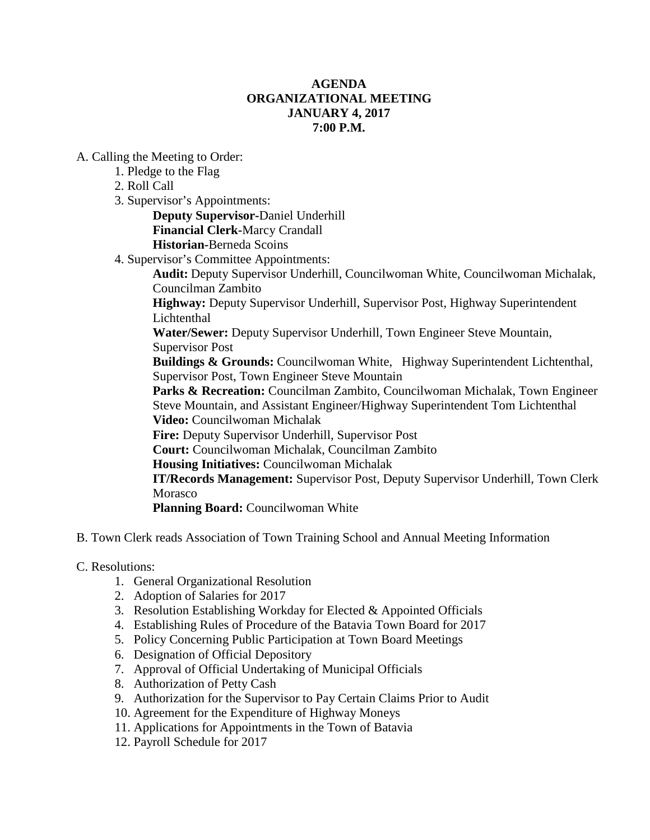## **AGENDA ORGANIZATIONAL MEETING JANUARY 4, 2017 7:00 P.M.**

A. Calling the Meeting to Order:

- 1. Pledge to the Flag
- 2. Roll Call
- 3. Supervisor's Appointments:

**Deputy Supervisor-**Daniel Underhill **Financial Clerk-**Marcy Crandall

**Historian-**Berneda Scoins

4. Supervisor's Committee Appointments:

**Audit:** Deputy Supervisor Underhill, Councilwoman White, Councilwoman Michalak, Councilman Zambito

**Highway:** Deputy Supervisor Underhill, Supervisor Post, Highway Superintendent Lichtenthal

**Water/Sewer:** Deputy Supervisor Underhill, Town Engineer Steve Mountain, Supervisor Post

**Buildings & Grounds:** Councilwoman White, Highway Superintendent Lichtenthal, Supervisor Post, Town Engineer Steve Mountain

Parks & Recreation: Councilman Zambito, Councilwoman Michalak, Town Engineer Steve Mountain, and Assistant Engineer/Highway Superintendent Tom Lichtenthal **Video:** Councilwoman Michalak

**Fire:** Deputy Supervisor Underhill, Supervisor Post

**Court:** Councilwoman Michalak, Councilman Zambito

**Housing Initiatives:** Councilwoman Michalak

**IT/Records Management:** Supervisor Post, Deputy Supervisor Underhill, Town Clerk Morasco

**Planning Board: Councilwoman White** 

- B. Town Clerk reads Association of Town Training School and Annual Meeting Information
- C. Resolutions:
	- 1. General Organizational Resolution
	- 2. Adoption of Salaries for 2017
	- 3. Resolution Establishing Workday for Elected & Appointed Officials
	- 4. Establishing Rules of Procedure of the Batavia Town Board for 2017
	- 5. Policy Concerning Public Participation at Town Board Meetings
	- 6. Designation of Official Depository
	- 7. Approval of Official Undertaking of Municipal Officials
	- 8. Authorization of Petty Cash
	- 9. Authorization for the Supervisor to Pay Certain Claims Prior to Audit
	- 10. Agreement for the Expenditure of Highway Moneys
	- 11. Applications for Appointments in the Town of Batavia
	- 12. Payroll Schedule for 2017